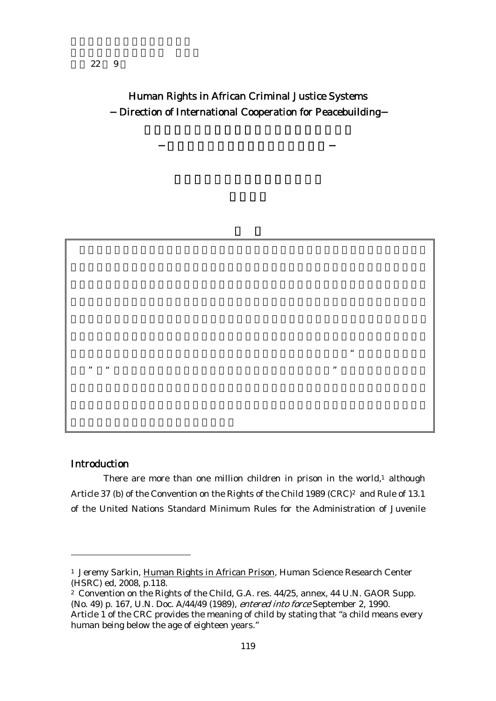Human Rights in African Criminal Justice Systems Direction of International Cooperation for Peacebuilding

## Introduction

-

There are more than one million children in prison in the world, $1$  although Article 37 (b) of the Convention on the Rights of the Child 1989 (CRC)<sup>2</sup> and Rule of 13.1 of the United Nations Standard Minimum Rules for the Administration of Juvenile

 $\ddot{a}$ 

 $\mathfrak{m}$  and  $\mathfrak{m}$ 

<sup>&</sup>lt;sup>1</sup> Jeremy Sarkin, Human Rights in African Prison, Human Science Research Center (HSRC) ed, 2008, p.118.

<sup>2</sup> Convention on the Rights of the Child, G.A. res. 44/25, annex, 44 U.N. GAOR Supp. (No. 49) p. 167, U.N. Doc. A/44/49 (1989), entered into force September 2, 1990. Article 1 of the CRC provides the meaning of child by stating that "a child means every human being below the age of eighteen years."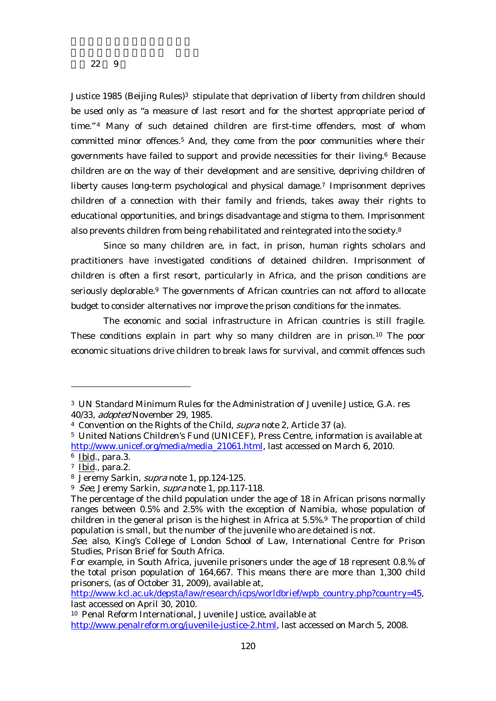Justice 1985 (Beijing Rules)<sup>3</sup> stipulate that deprivation of liberty from children should be used only as "a measure of last resort and for the shortest appropriate period of time."<sup>4</sup> Many of such detained children are first-time offenders, most of whom committed minor offences.5 And, they come from the poor communities where their governments have failed to support and provide necessities for their living.6 Because children are on the way of their development and are sensitive, depriving children of liberty causes long-term psychological and physical damage.7 Imprisonment deprives children of a connection with their family and friends, takes away their rights to educational opportunities, and brings disadvantage and stigma to them. Imprisonment also prevents children from being rehabilitated and reintegrated into the society.8

Since so many children are, in fact, in prison, human rights scholars and practitioners have investigated conditions of detained children. Imprisonment of children is often a first resort, particularly in Africa, and the prison conditions are seriously deplorable.<sup>9</sup> The governments of African countries can not afford to allocate budget to consider alternatives nor improve the prison conditions for the inmates.

The economic and social infrastructure in African countries is still fragile. These conditions explain in part why so many children are in prison.10 The poor economic situations drive children to break laws for survival, and commit offences such

-

http://www.kcl.ac.uk/depsta/law/research/icps/worldbrief/wpb\_country.php?country=45, last accessed on April 30, 2010.

<sup>3</sup> UN Standard Minimum Rules for the Administration of Juvenile Justice, G.A. res 40/33, adopted November 29, 1985.

<sup>4</sup> Convention on the Rights of the Child, supra note 2, Article 37 (a).

<sup>5</sup> United Nations Children's Fund (UNICEF), Press Centre, information is available at http://www.unicef.org/media/media\_21061.html, last accessed on March 6, 2010.

<sup>6</sup> Ibid., para.3.

 $7$  Ibid., para.2.

<sup>8</sup> Jeremy Sarkin, supra note 1, pp.124-125.

<sup>&</sup>lt;sup>9</sup> See, Jeremy Sarkin, *supra* note 1, pp.117-118.

The percentage of the child population under the age of 18 in African prisons normally ranges between 0.5% and 2.5% with the exception of Namibia, whose population of children in the general prison is the highest in Africa at 5.5%.9 The proportion of child population is small, but the number of the juvenile who are detained is not.

See, also, King's College of London School of Law, International Centre for Prison Studies, Prison Brief for South Africa.

For example, in South Africa, juvenile prisoners under the age of 18 represent 0.8.% of the total prison population of 164,667. This means there are more than 1,300 child prisoners, (as of October 31, 2009), available at,

<sup>10</sup> Penal Reform International, Juvenile Justice, available at

http://www.penalreform.org/juvenile-justice-2.html, last accessed on March 5, 2008.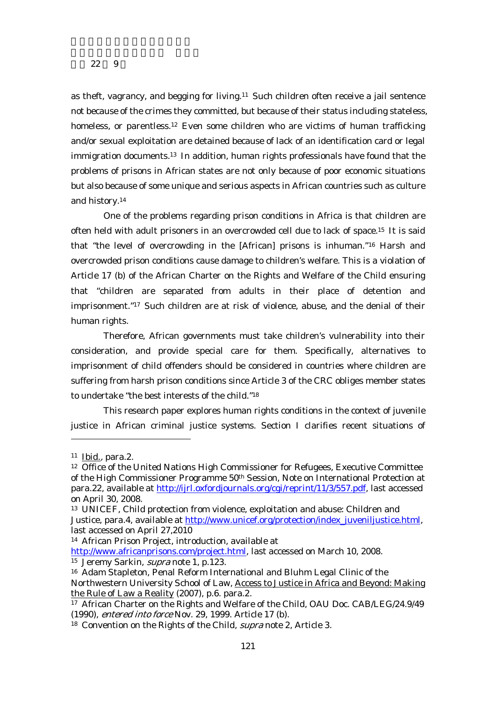as theft, vagrancy, and begging for living.11 Such children often receive a jail sentence not because of the crimes they committed, but because of their status including stateless, homeless, or parentless.<sup>12</sup> Even some children who are victims of human trafficking and/or sexual exploitation are detained because of lack of an identification card or legal immigration documents.13 In addition, human rights professionals have found that the problems of prisons in African states are not only because of poor economic situations but also because of some unique and serious aspects in African countries such as culture and history.14

One of the problems regarding prison conditions in Africa is that children are often held with adult prisoners in an overcrowded cell due to lack of space.15 It is said that "the level of overcrowding in the [African] prisons is inhuman."16 Harsh and overcrowded prison conditions cause damage to children's welfare. This is a violation of Article 17 (b) of the African Charter on the Rights and Welfare of the Child ensuring that "children are separated from adults in their place of detention and imprisonment."17 Such children are at risk of violence, abuse, and the denial of their human rights.

Therefore, African governments must take children's vulnerability into their consideration, and provide special care for them. Specifically, alternatives to imprisonment of child offenders should be considered in countries where children are suffering from harsh prison conditions since Article 3 of the CRC obliges member states to undertake "the best interests of the child."18

This research paper explores human rights conditions in the context of juvenile justice in African criminal justice systems. Section I clarifies recent situations of

<sup>11</sup> Ibid., para.2.

<sup>12</sup> Office of the United Nations High Commissioner for Refugees, Executive Committee of the High Commissioner Programme 50th Session, Note on International Protection at para.22, available at http://ijrl.oxfordjournals.org/cgi/reprint/11/3/557.pdf, last accessed on April 30, 2008.

<sup>13</sup> UNICEF, Child protection from violence, exploitation and abuse: Children and Justice, para.4, available at http://www.unicef.org/protection/index\_juveniljustice.html, last accessed on April 27,2010

<sup>14</sup> African Prison Project, introduction, available at

http://www.africanprisons.com/project.html, last accessed on March 10, 2008.  $\frac{15}{15}$  Jeremy Sarkin, *supra* note 1, p.123.

<sup>16</sup> Adam Stapleton, Penal Reform International and Bluhm Legal Clinic of the Northwestern University School of Law, Access to Justice in Africa and Beyond: Making the Rule of Law a Reality (2007), p.6. para.2.

<sup>17</sup> African Charter on the Rights and Welfare of the Child, OAU Doc. CAB/LEG/24.9/49 (1990), entered into force Nov. 29, 1999. Article 17 (b).

<sup>&</sup>lt;sup>18</sup> Convention on the Rights of the Child, *supra* note 2, Article 3.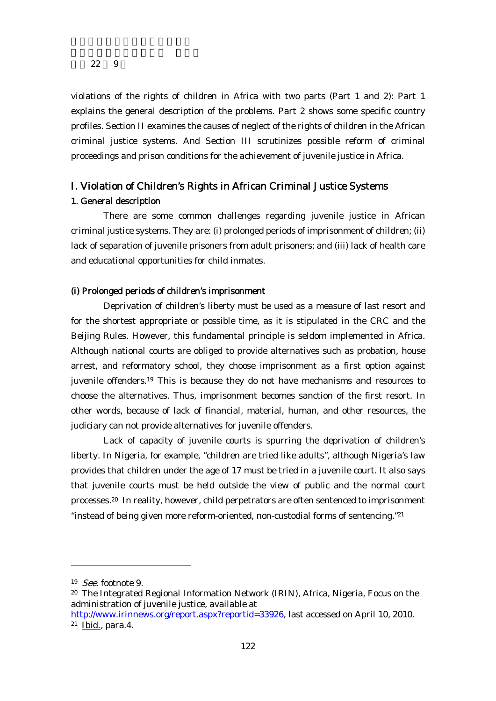violations of the rights of children in Africa with two parts (Part 1 and 2): Part 1 explains the general description of the problems. Part 2 shows some specific country profiles. Section II examines the causes of neglect of the rights of children in the African criminal justice systems. And Section III scrutinizes possible reform of criminal proceedings and prison conditions for the achievement of juvenile justice in Africa.

# I. Violation of Children's Rights in African Criminal Justice Systems

## 1. General description

There are some common challenges regarding juvenile justice in African criminal justice systems. They are: (i) prolonged periods of imprisonment of children; (ii) lack of separation of juvenile prisoners from adult prisoners; and (iii) lack of health care and educational opportunities for child inmates.

#### (i) Prolonged periods of children's imprisonment

Deprivation of children's liberty must be used as a measure of last resort and for the shortest appropriate or possible time, as it is stipulated in the CRC and the Beijing Rules. However, this fundamental principle is seldom implemented in Africa. Although national courts are obliged to provide alternatives such as probation, house arrest, and reformatory school, they choose imprisonment as a first option against juvenile offenders.19 This is because they do not have mechanisms and resources to choose the alternatives. Thus, imprisonment becomes sanction of the first resort. In other words, because of lack of financial, material, human, and other resources, the judiciary can not provide alternatives for juvenile offenders.

Lack of capacity of juvenile courts is spurring the deprivation of children's liberty. In Nigeria, for example, "children are tried like adults", although Nigeria's law provides that children under the age of 17 must be tried in a juvenile court. It also says that juvenile courts must be held outside the view of public and the normal court processes.20 In reality, however, child perpetrators are often sentenced to imprisonment "instead of being given more reform-oriented, non-custodial forms of sentencing."21

<sup>19</sup> See. footnote 9.

<sup>20</sup> The Integrated Regional Information Network (IRIN), Africa, Nigeria, Focus on the administration of juvenile justice, available at

http://www.irinnews.org/report.aspx?reportid=33926, last accessed on April 10, 2010.  $21$  Ibid., para.4.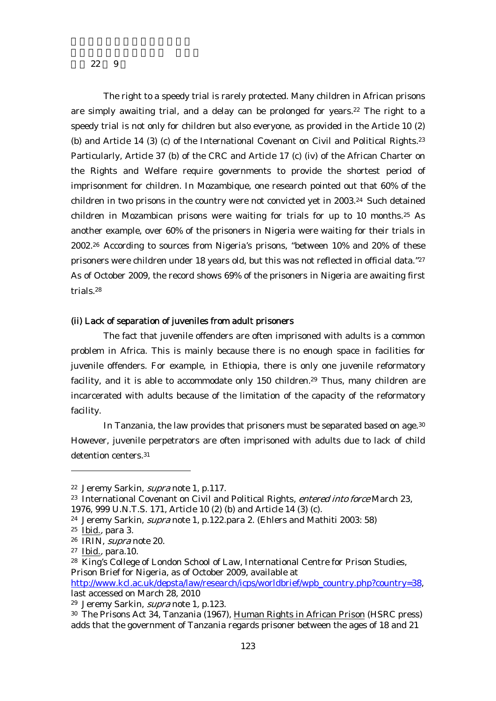The right to a speedy trial is rarely protected. Many children in African prisons are simply awaiting trial, and a delay can be prolonged for years.<sup>22</sup> The right to a speedy trial is not only for children but also everyone, as provided in the Article 10 (2) (b) and Article 14 (3) (c) of the International Covenant on Civil and Political Rights.<sup>23</sup> Particularly, Article 37 (b) of the CRC and Article 17 (c) (iv) of the African Charter on the Rights and Welfare require governments to provide the shortest period of imprisonment for children. In Mozambique, one research pointed out that 60% of the children in two prisons in the country were not convicted yet in 2003.24 Such detained children in Mozambican prisons were waiting for trials for up to 10 months.25 As another example, over 60% of the prisoners in Nigeria were waiting for their trials in 2002.26 According to sources from Nigeria's prisons, "between 10% and 20% of these prisoners were children under 18 years old, but this was not reflected in official data."<sup>27</sup> As of October 2009, the record shows 69% of the prisoners in Nigeria are awaiting first trials.28

#### (ii) Lack of separation of juveniles from adult prisoners

The fact that juvenile offenders are often imprisoned with adults is a common problem in Africa. This is mainly because there is no enough space in facilities for juvenile offenders. For example, in Ethiopia, there is only one juvenile reformatory facility, and it is able to accommodate only 150 children.<sup>29</sup> Thus, many children are incarcerated with adults because of the limitation of the capacity of the reformatory facility.

In Tanzania, the law provides that prisoners must be separated based on age.<sup>30</sup> However, juvenile perpetrators are often imprisoned with adults due to lack of child detention centers.31

<sup>22</sup> Jeremy Sarkin, supra note 1, p.117.

<sup>&</sup>lt;sup>23</sup> International Covenant on Civil and Political Rights, *entered into force* March 23, 1976, 999 U.N.T.S. 171, Article 10 (2) (b) and Article 14 (3) (c).

<sup>&</sup>lt;sup>24</sup> Jeremy Sarkin, *supra* note 1, p.122.para 2. (Ehlers and Mathiti 2003: 58)

 $25$  Ibid., para 3.

<sup>26</sup> IRIN, supra note 20.

<sup>27</sup> Ibid., para.10.

<sup>28</sup> King's College of London School of Law, International Centre for Prison Studies, Prison Brief for Nigeria, as of October 2009, available at

http://www.kcl.ac.uk/depsta/law/research/icps/worldbrief/wpb\_country.php?country=38, last accessed on March 28, 2010

<sup>29</sup> Jeremy Sarkin, supra note 1, p.123.

<sup>30</sup> The Prisons Act 34, Tanzania (1967), Human Rights in African Prison (HSRC press) adds that the government of Tanzania regards prisoner between the ages of 18 and 21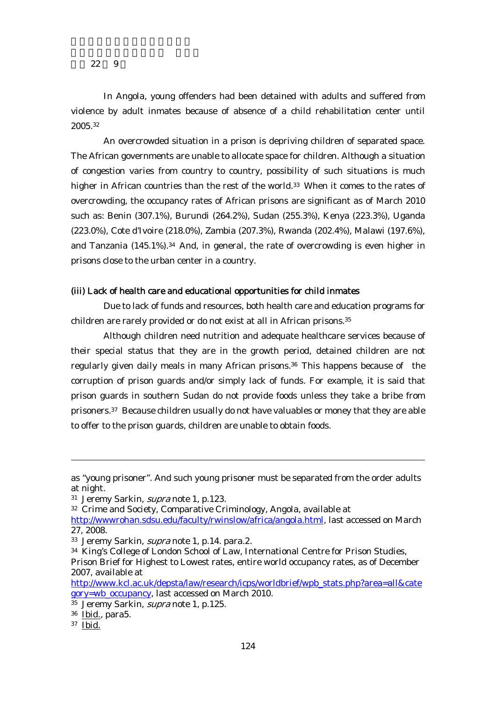In Angola, young offenders had been detained with adults and suffered from violence by adult inmates because of absence of a child rehabilitation center until 2005.32

An overcrowded situation in a prison is depriving children of separated space. The African governments are unable to allocate space for children. Although a situation of congestion varies from country to country, possibility of such situations is much higher in African countries than the rest of the world.<sup>33</sup> When it comes to the rates of overcrowding, the occupancy rates of African prisons are significant as of March 2010 such as: Benin (307.1%), Burundi (264.2%), Sudan (255.3%), Kenya (223.3%), Uganda (223.0%), Cote d'Ivoire (218.0%), Zambia (207.3%), Rwanda (202.4%), Malawi (197.6%), and Tanzania (145.1%).34 And, in general, the rate of overcrowding is even higher in prisons close to the urban center in a country.

## (iii) Lack of health care and educational opportunities for child inmates

Due to lack of funds and resources, both health care and education programs for children are rarely provided or do not exist at all in African prisons.<sup>35</sup>

Although children need nutrition and adequate healthcare services because of their special status that they are in the growth period, detained children are not regularly given daily meals in many African prisons.36 This happens because of the corruption of prison guards and/or simply lack of funds. For example, it is said that prison guards in southern Sudan do not provide foods unless they take a bribe from prisoners.37 Because children usually do not have valuables or money that they are able to offer to the prison guards, children are unable to obtain foods.

as "young prisoner". And such young prisoner must be separated from the order adults at night.

<sup>31</sup> Jeremy Sarkin, supra note 1, p.123.

<sup>32</sup> Crime and Society, Comparative Criminology, Angola, available at

http://wwwrohan.sdsu.edu/faculty/rwinslow/africa/angola.html, last accessed on March 27, 2008.

<sup>33</sup> Jeremy Sarkin, *supra* note 1, p.14. para.2.

<sup>34</sup> King's College of London School of Law, International Centre for Prison Studies, Prison Brief for Highest to Lowest rates, entire world occupancy rates, as of December 2007, available at

http://www.kcl.ac.uk/depsta/law/research/icps/worldbrief/wpb\_stats.php?area=all&cate gory=wb\_occupancy, last accessed on March 2010.

<sup>&</sup>lt;sup>35</sup> Jeremy Sarkin, *supra* note 1, p.125.

<sup>36</sup> Ibid., para5.

<sup>37</sup> Ibid.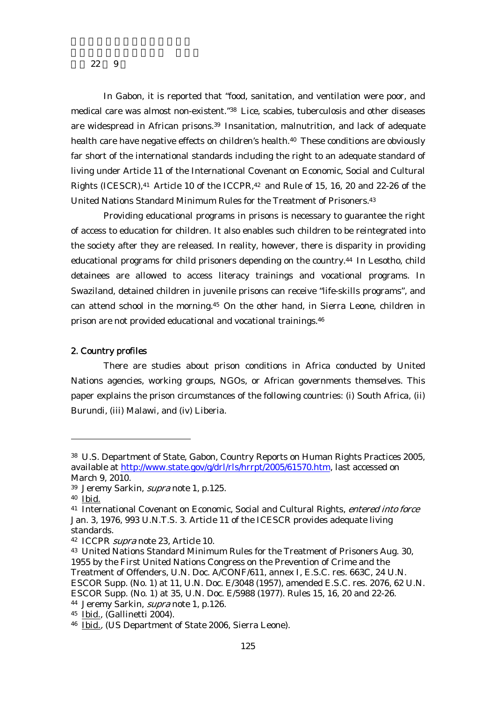In Gabon, it is reported that "food, sanitation, and ventilation were poor, and medical care was almost non-existent."38 Lice, scabies, tuberculosis and other diseases are widespread in African prisons.39 Insanitation, malnutrition, and lack of adequate health care have negative effects on children's health.<sup>40</sup> These conditions are obviously far short of the international standards including the right to an adequate standard of living under Article 11 of the International Covenant on Economic, Social and Cultural Rights (ICESCR),<sup>41</sup> Article 10 of the ICCPR,<sup>42</sup> and Rule of 15, 16, 20 and 22-26 of the United Nations Standard Minimum Rules for the Treatment of Prisoners.43

Providing educational programs in prisons is necessary to guarantee the right of access to education for children. It also enables such children to be reintegrated into the society after they are released. In reality, however, there is disparity in providing educational programs for child prisoners depending on the country.44 In Lesotho, child detainees are allowed to access literacy trainings and vocational programs. In Swaziland, detained children in juvenile prisons can receive "life-skills programs", and can attend school in the morning.45 On the other hand, in Sierra Leone, children in prison are not provided educational and vocational trainings.46

## 2. Country profiles

There are studies about prison conditions in Africa conducted by United Nations agencies, working groups, NGOs, or African governments themselves. This paper explains the prison circumstances of the following countries: (i) South Africa, (ii) Burundi, (iii) Malawi, and (iv) Liberia.

<sup>38</sup> U.S. Department of State, Gabon, Country Reports on Human Rights Practices 2005, available at http://www.state.gov/g/drl/rls/hrrpt/2005/61570.htm, last accessed on March 9, 2010.

<sup>39</sup> Jeremy Sarkin, supra note 1, p.125.

<sup>40</sup> Ibid.

<sup>41</sup> International Covenant on Economic, Social and Cultural Rights, entered into force Jan. 3, 1976, 993 U.N.T.S. 3. Article 11 of the ICESCR provides adequate living standards.

<sup>42</sup> ICCPR supra note 23, Article 10.

<sup>43</sup> United Nations Standard Minimum Rules for the Treatment of Prisoners Aug. 30, 1955 by the First United Nations Congress on the Prevention of Crime and the Treatment of Offenders, U.N. Doc. A/CONF/611, annex I, E.S.C. res. 663C, 24 U.N. ESCOR Supp. (No. 1) at 11, U.N. Doc. E/3048 (1957), amended E.S.C. res. 2076, 62 U.N. ESCOR Supp. (No. 1) at 35, U.N. Doc. E/5988 (1977). Rules 15, 16, 20 and 22-26. 44 Jeremy Sarkin, supra note 1, p.126.

<sup>45</sup> Ibid., (Gallinetti 2004).

<sup>46</sup> Ibid., (US Department of State 2006, Sierra Leone).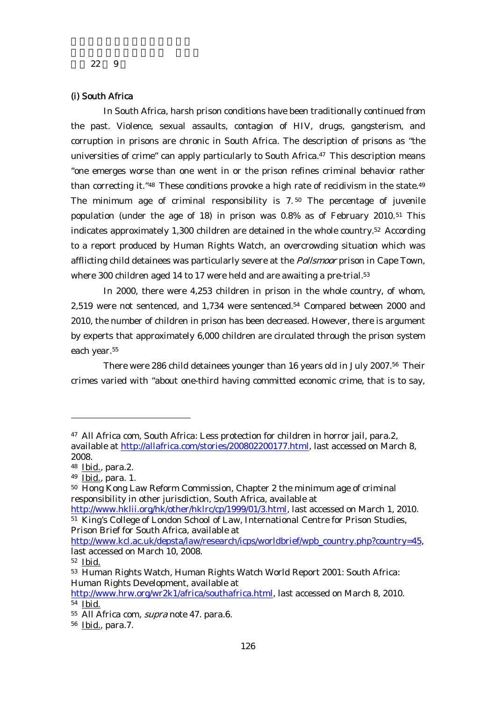## (i) South Africa

In South Africa, harsh prison conditions have been traditionally continued from the past. Violence, sexual assaults, contagion of HIV, drugs, gangsterism, and corruption in prisons are chronic in South Africa. The description of prisons as "the universities of crime" can apply particularly to South Africa. $47$  This description means "one emerges worse than one went in or the prison refines criminal behavior rather than correcting it."<sup>48</sup> These conditions provoke a high rate of recidivism in the state.<sup>49</sup> The minimum age of criminal responsibility is  $7.50$  The percentage of juvenile population (under the age of 18) in prison was 0.8% as of February 2010.51 This indicates approximately 1,300 children are detained in the whole country.52 According to a report produced by Human Rights Watch, an overcrowding situation which was afflicting child detainees was particularly severe at the *Pollsmoor* prison in Cape Town, where 300 children aged 14 to 17 were held and are awaiting a pre-trial.<sup>53</sup>

In 2000, there were 4,253 children in prison in the whole country, of whom, 2,519 were not sentenced, and 1,734 were sentenced.54 Compared between 2000 and 2010, the number of children in prison has been decreased. However, there is argument by experts that approximately 6,000 children are circulated through the prison system each year.<sup>55</sup>

There were 286 child detainees younger than 16 years old in July 2007.56 Their crimes varied with "about one-third having committed economic crime, that is to say,

<sup>47</sup> All Africa com, South Africa: Less protection for children in horror jail, para.2, available at http://allafrica.com/stories/200802200177.html, last accessed on March 8, 2008.

<sup>48</sup> Ibid., para.2.

<sup>49</sup> Ibid., para. 1.

<sup>50</sup> Hong Kong Law Reform Commission, Chapter 2 the minimum age of criminal responsibility in other jurisdiction, South Africa, available at

http://www.hklii.org/hk/other/hklrc/cp/1999/01/3.html, last accessed on March 1, 2010. 51 King's College of London School of Law, International Centre for Prison Studies, Prison Brief for South Africa, available at

http://www.kcl.ac.uk/depsta/law/research/icps/worldbrief/wpb\_country.php?country=45, last accessed on March 10, 2008.

<sup>52</sup> Ibid.

<sup>53</sup> Human Rights Watch, Human Rights Watch World Report 2001: South Africa: Human Rights Development, available at

http://www.hrw.org/wr2k1/africa/southafrica.html, last accessed on March 8, 2010. 54 Ibid.

<sup>&</sup>lt;sup>55</sup> All Africa com, *supra* note 47. para.6.

<sup>56</sup> Ibid., para.7.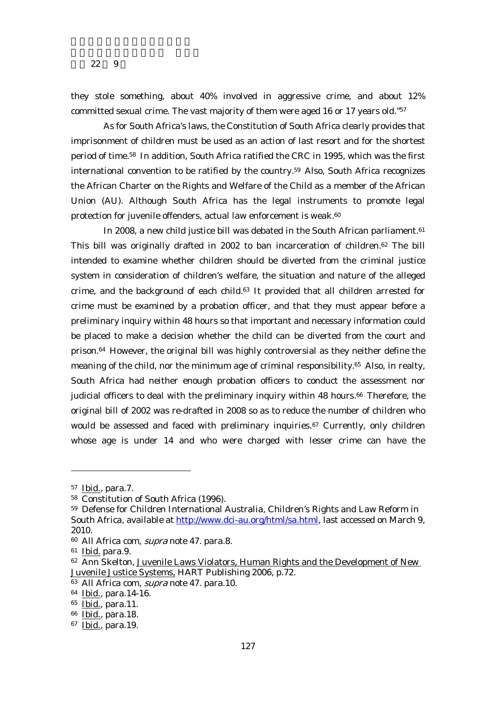they stole something, about 40% involved in aggressive crime, and about 12% committed sexual crime. The vast majority of them were aged 16 or 17 years old."57

As for South Africa's laws, the Constitution of South Africa clearly provides that imprisonment of children must be used as an action of last resort and for the shortest period of time.58 In addition, South Africa ratified the CRC in 1995, which was the first international convention to be ratified by the country.59 Also, South Africa recognizes the African Charter on the Rights and Welfare of the Child as a member of the African Union (AU). Although South Africa has the legal instruments to promote legal protection for juvenile offenders, actual law enforcement is weak.<sup>60</sup>

In 2008, a new child justice bill was debated in the South African parliament.<sup>61</sup> This bill was originally drafted in 2002 to ban incarceration of children.62 The bill intended to examine whether children should be diverted from the criminal justice system in consideration of children's welfare, the situation and nature of the alleged crime, and the background of each child.63 It provided that all children arrested for crime must be examined by a probation officer, and that they must appear before a preliminary inquiry within 48 hours so that important and necessary information could be placed to make a decision whether the child can be diverted from the court and prison.64 However, the original bill was highly controversial as they neither define the meaning of the child, nor the minimum age of criminal responsibility.<sup>65</sup> Also, in realty, South Africa had neither enough probation officers to conduct the assessment nor judicial officers to deal with the preliminary inquiry within 48 hours.<sup>66</sup> Therefore, the original bill of 2002 was re-drafted in 2008 so as to reduce the number of children who would be assessed and faced with preliminary inquiries.<sup>67</sup> Currently, only children whose age is under 14 and who were charged with lesser crime can have the

<sup>57</sup> Ibid., para.7.

<sup>58</sup> Constitution of South Africa (1996).

<sup>59</sup> Defense for Children International Australia, Children's Rights and Law Reform in South Africa, available at http://www.dci-au.org/html/sa.html, last accessed on March 9, 2010.

<sup>60</sup> All Africa com, *supra* note 47. para.8.

<sup>61</sup> Ibid. para.9.

<sup>62</sup> Ann Skelton, Juvenile Laws Violators, Human Rights and the Development of New Juvenile Justice Systems, HART Publishing 2006, p.72.

<sup>&</sup>lt;sup>63</sup> All Africa com, *supra* note 47. para.10.

<sup>64</sup> Ibid., para.14-16.

<sup>65</sup> Ibid., para.11.

<sup>66</sup> Ibid., para.18.

<sup>67</sup> Ibid., para.19.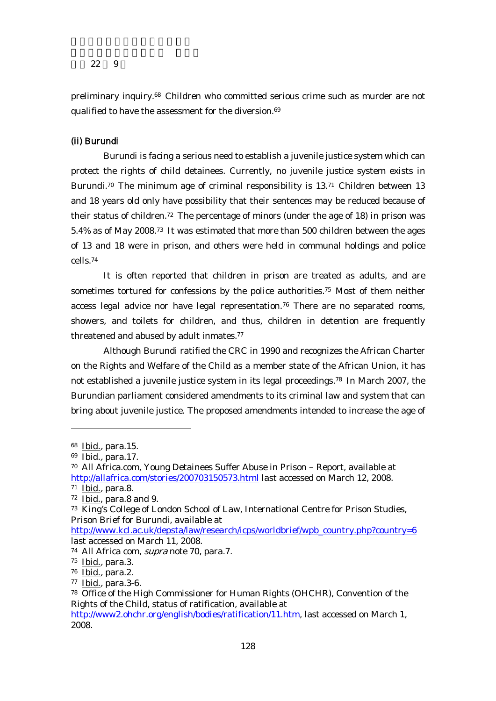preliminary inquiry.68 Children who committed serious crime such as murder are not qualified to have the assessment for the diversion.<sup>69</sup>

## (ii) Burundi

Burundi is facing a serious need to establish a juvenile justice system which can protect the rights of child detainees. Currently, no juvenile justice system exists in Burundi.<sup>70</sup> The minimum age of criminal responsibility is 13.<sup>71</sup> Children between 13 and 18 years old only have possibility that their sentences may be reduced because of their status of children.72 The percentage of minors (under the age of 18) in prison was 5.4% as of May 2008.73 It was estimated that more than 500 children between the ages of 13 and 18 were in prison, and others were held in communal holdings and police cells.74

It is often reported that children in prison are treated as adults, and are sometimes tortured for confessions by the police authorities.75 Most of them neither access legal advice nor have legal representation.76 There are no separated rooms, showers, and toilets for children, and thus, children in detention are frequently threatened and abused by adult inmates.<sup>77</sup>

Although Burundi ratified the CRC in 1990 and recognizes the African Charter on the Rights and Welfare of the Child as a member state of the African Union, it has not established a juvenile justice system in its legal proceedings.78 In March 2007, the Burundian parliament considered amendments to its criminal law and system that can bring about juvenile justice. The proposed amendments intended to increase the age of

<sup>68</sup> Ibid., para.15.

<sup>69</sup> Ibid., para.17.

<sup>70</sup> All Africa.com, Young Detainees Suffer Abuse in Prison – Report, available at http://allafrica.com/stories/200703150573.html last accessed on March 12, 2008.

<sup>71</sup> Ibid., para.8.

 $72$  Ibid., para.8 and 9.

<sup>73</sup> King's College of London School of Law, International Centre for Prison Studies, Prison Brief for Burundi, available at

http://www.kcl.ac.uk/depsta/law/research/icps/worldbrief/wpb\_country.php?country=6 last accessed on March 11, 2008.

<sup>74</sup> All Africa com, supra note 70, para.7.

<sup>75</sup> Ibid., para.3.

<sup>76</sup> Ibid., para.2.

<sup>77</sup> Ibid., para.3-6.

<sup>78</sup> Office of the High Commissioner for Human Rights (OHCHR), Convention of the Rights of the Child, status of ratification, available at

http://www2.ohchr.org/english/bodies/ratification/11.htm, last accessed on March 1, 2008.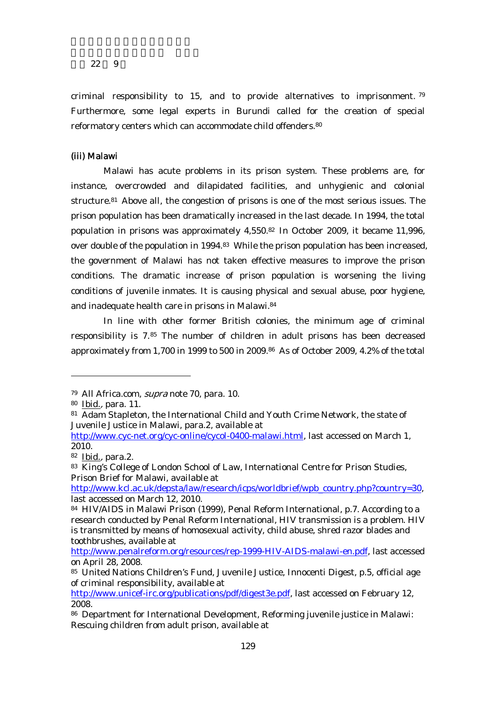criminal responsibility to 15, and to provide alternatives to imprisonment. <sup>79</sup> Furthermore, some legal experts in Burundi called for the creation of special reformatory centers which can accommodate child offenders.<sup>80</sup>

#### (iii) Malawi

Malawi has acute problems in its prison system. These problems are, for instance, overcrowded and dilapidated facilities, and unhygienic and colonial structure.81 Above all, the congestion of prisons is one of the most serious issues. The prison population has been dramatically increased in the last decade. In 1994, the total population in prisons was approximately 4,550.82 In October 2009, it became 11,996, over double of the population in 1994.<sup>83</sup> While the prison population has been increased, the government of Malawi has not taken effective measures to improve the prison conditions. The dramatic increase of prison population is worsening the living conditions of juvenile inmates. It is causing physical and sexual abuse, poor hygiene, and inadequate health care in prisons in Malawi.84

In line with other former British colonies, the minimum age of criminal responsibility is 7.85 The number of children in adult prisons has been decreased approximately from 1,700 in 1999 to 500 in 2009.86 As of October 2009, 4.2% of the total

<sup>79</sup> All Africa.com, supra note 70, para. 10.

<sup>80</sup> Ibid., para. 11.

<sup>81</sup> Adam Stapleton, the International Child and Youth Crime Network, the state of Juvenile Justice in Malawi, para.2, available at

http://www.cyc-net.org/cyc-online/cycol-0400-malawi.html, last accessed on March 1, 2010.

<sup>82</sup> Ibid., para.2.

<sup>83</sup> King's College of London School of Law, International Centre for Prison Studies, Prison Brief for Malawi, available at

http://www.kcl.ac.uk/depsta/law/research/icps/worldbrief/wpb\_country.php?country=30, last accessed on March 12, 2010.

<sup>84</sup> HIV/AIDS in Malawi Prison (1999), Penal Reform International, p.7. According to a research conducted by Penal Reform International, HIV transmission is a problem. HIV is transmitted by means of homosexual activity, child abuse, shred razor blades and toothbrushes, available at

http://www.penalreform.org/resources/rep-1999-HIV-AIDS-malawi-en.pdf, last accessed on April 28, 2008.

<sup>85</sup> United Nations Children's Fund, Juvenile Justice, Innocenti Digest, p.5, official age of criminal responsibility, available at

http://www.unicef-irc.org/publications/pdf/digest3e.pdf, last accessed on February 12, 2008.

<sup>86</sup> Department for International Development, Reforming juvenile justice in Malawi: Rescuing children from adult prison, available at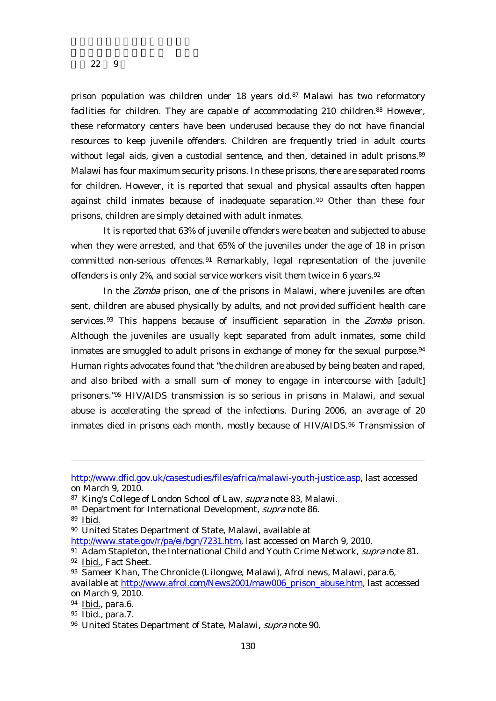prison population was children under 18 years old.87 Malawi has two reformatory facilities for children. They are capable of accommodating 210 children.<sup>88</sup> However, these reformatory centers have been underused because they do not have financial resources to keep juvenile offenders. Children are frequently tried in adult courts without legal aids, given a custodial sentence, and then, detained in adult prisons.<sup>89</sup> Malawi has four maximum security prisons. In these prisons, there are separated rooms for children. However, it is reported that sexual and physical assaults often happen against child inmates because of inadequate separation. 90 Other than these four prisons, children are simply detained with adult inmates.

It is reported that 63% of juvenile offenders were beaten and subjected to abuse when they were arrested, and that 65% of the juveniles under the age of 18 in prison committed non-serious offences.<sup>91</sup> Remarkably, legal representation of the juvenile offenders is only 2%, and social service workers visit them twice in 6 years.<sup>92</sup>

In the Zomba prison, one of the prisons in Malawi, where juveniles are often sent, children are abused physically by adults, and not provided sufficient health care services.<sup>93</sup> This happens because of insufficient separation in the *Zomba* prison. Although the juveniles are usually kept separated from adult inmates, some child inmates are smuggled to adult prisons in exchange of money for the sexual purpose.<sup>94</sup> Human rights advocates found that "the children are abused by being beaten and raped, and also bribed with a small sum of money to engage in intercourse with [adult] prisoners."95 HIV/AIDS transmission is so serious in prisons in Malawi, and sexual abuse is accelerating the spread of the infections. During 2006, an average of 20 inmates died in prisons each month, mostly because of HIV/AIDS.<sup>96</sup> Transmission of

http://www.dfid.gov.uk/casestudies/files/africa/malawi-youth-justice.asp, last accessed on March 9, 2010.

<sup>87</sup> King's College of London School of Law, supra note 83, Malawi.

<sup>88</sup> Department for International Development, *supra* note 86.

<sup>89</sup> Ibid.

<sup>90</sup> United States Department of State, Malawi, available at

http://www.state.gov/r/pa/ei/bgn/7231.htm, last accessed on March 9, 2010.

<sup>91</sup> Adam Stapleton, the International Child and Youth Crime Network, *supra* note 81. 92 Ibid., Fact Sheet.

<sup>93</sup> Sameer Khan, The Chronicle (Lilongwe, Malawi), Afrol news, Malawi, para.6, available at http://www.afrol.com/News2001/maw006\_prison\_abuse.htm, last accessed on March 9, 2010.

<sup>94</sup> Ibid., para.6.

<sup>95</sup> Ibid., para.7.

<sup>96</sup> United States Department of State, Malawi, supra note 90.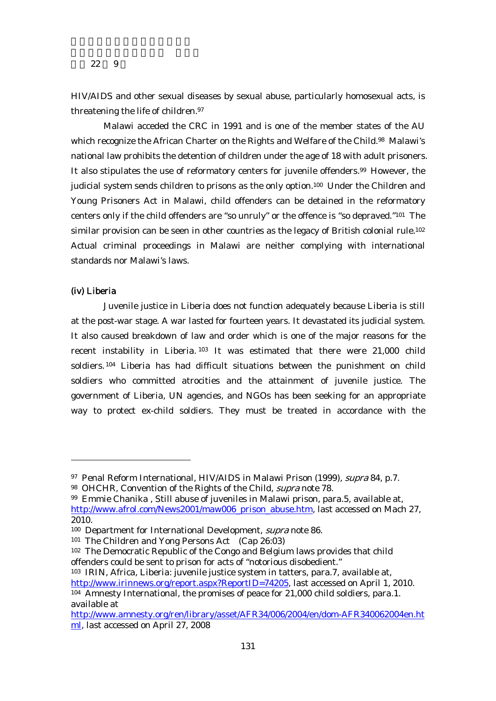HIV/AIDS and other sexual diseases by sexual abuse, particularly homosexual acts, is threatening the life of children.<sup>97</sup>

Malawi acceded the CRC in 1991 and is one of the member states of the AU which recognize the African Charter on the Rights and Welfare of the Child.<sup>98</sup> Malawi's national law prohibits the detention of children under the age of 18 with adult prisoners. It also stipulates the use of reformatory centers for juvenile offenders.99 However, the judicial system sends children to prisons as the only option.100 Under the Children and Young Prisoners Act in Malawi, child offenders can be detained in the reformatory centers only if the child offenders are "so unruly" or the offence is "so depraved."101 The similar provision can be seen in other countries as the legacy of British colonial rule.<sup>102</sup> Actual criminal proceedings in Malawi are neither complying with international standards nor Malawi's laws.

#### (iv) Liberia

-

Juvenile justice in Liberia does not function adequately because Liberia is still at the post-war stage. A war lasted for fourteen years. It devastated its judicial system. It also caused breakdown of law and order which is one of the major reasons for the recent instability in Liberia. 103 It was estimated that there were 21,000 child soldiers. 104 Liberia has had difficult situations between the punishment on child soldiers who committed atrocities and the attainment of juvenile justice. The government of Liberia, UN agencies, and NGOs has been seeking for an appropriate way to protect ex-child soldiers. They must be treated in accordance with the

<sup>97</sup> Penal Reform International, HIV/AIDS in Malawi Prison (1999), supra 84, p.7.

<sup>98</sup> OHCHR, Convention of the Rights of the Child, *supra* note 78.

<sup>99</sup> Emmie Chanika , Still abuse of juveniles in Malawi prison, para.5, available at, http://www.afrol.com/News2001/maw006\_prison\_abuse.htm, last accessed on Mach 27, 2010.

<sup>&</sup>lt;sup>100</sup> Department for International Development, *supra* note 86.

<sup>101</sup> The Children and Yong Persons Act (Cap 26:03)

<sup>102</sup> The Democratic Republic of the Congo and Belgium laws provides that child offenders could be sent to prison for acts of "notorious disobedient."

<sup>103</sup> IRIN, Africa, Liberia: juvenile justice system in tatters, para.7, available at, http://www.irinnews.org/report.aspx?ReportID=74205, last accessed on April 1, 2010. 104 Amnesty International, the promises of peace for 21,000 child soldiers, para.1. available at

http://www.amnesty.org/ren/library/asset/AFR34/006/2004/en/dom-AFR340062004en.ht ml, last accessed on April 27, 2008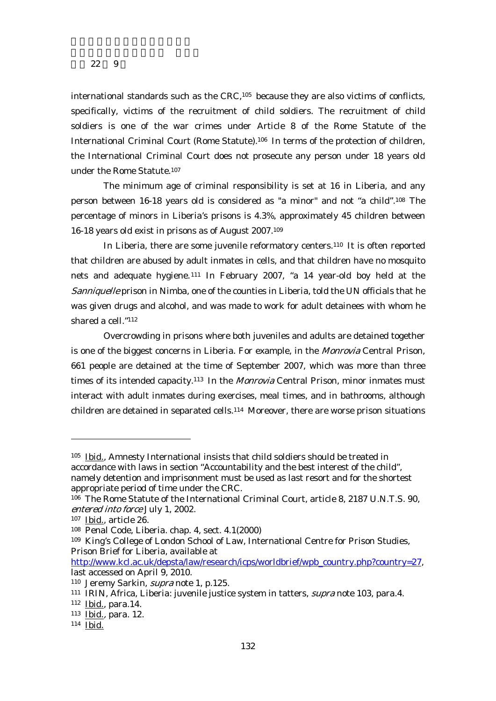international standards such as the CRC,105 because they are also victims of conflicts, specifically, victims of the recruitment of child soldiers. The recruitment of child soldiers is one of the war crimes under Article 8 of the Rome Statute of the International Criminal Court (Rome Statute).106 In terms of the protection of children, the International Criminal Court does not prosecute any person under 18 years old under the Rome Statute.<sup>107</sup>

The minimum age of criminal responsibility is set at 16 in Liberia, and any person between 16-18 years old is considered as "a minor" and not "a child".108 The percentage of minors in Liberia's prisons is 4.3%, approximately 45 children between 16-18 years old exist in prisons as of August 2007.109

In Liberia, there are some juvenile reformatory centers.110 It is often reported that children are abused by adult inmates in cells, and that children have no mosquito nets and adequate hygiene. 111 In February 2007, "a 14 year-old boy held at the Sanniquelle prison in Nimba, one of the counties in Liberia, told the UN officials that he was given drugs and alcohol, and was made to work for adult detainees with whom he shared a cell."112

Overcrowding in prisons where both juveniles and adults are detained together is one of the biggest concerns in Liberia. For example, in the Monrovia Central Prison, 661 people are detained at the time of September 2007, which was more than three times of its intended capacity.<sup>113</sup> In the *Monrovia* Central Prison, minor inmates must interact with adult inmates during exercises, meal times, and in bathrooms, although children are detained in separated cells.114 Moreover, there are worse prison situations

<sup>105</sup> Ibid., Amnesty International insists that child soldiers should be treated in accordance with laws in section "Accountability and the best interest of the child", namely detention and imprisonment must be used as last resort and for the shortest appropriate period of time under the CRC.

<sup>106</sup> The Rome Statute of the International Criminal Court, article 8, 2187 U.N.T.S. 90, entered into force July 1, 2002.

<sup>107</sup> Ibid., article 26.

<sup>108</sup> Penal Code, Liberia. chap. 4, sect. 4.1(2000)

<sup>109</sup> King's College of London School of Law, International Centre for Prison Studies, Prison Brief for Liberia, available at

http://www.kcl.ac.uk/depsta/law/research/icps/worldbrief/wpb\_country.php?country=27, last accessed on April 9, 2010.

<sup>110</sup> Jeremy Sarkin, supra note 1, p.125.

<sup>&</sup>lt;sup>111</sup> IRIN, Africa, Liberia: juvenile justice system in tatters, *supra* note 103, para.4.

<sup>112</sup> Ibid., para.14.

<sup>113</sup> Ibid., para. 12.

<sup>114</sup> Ibid.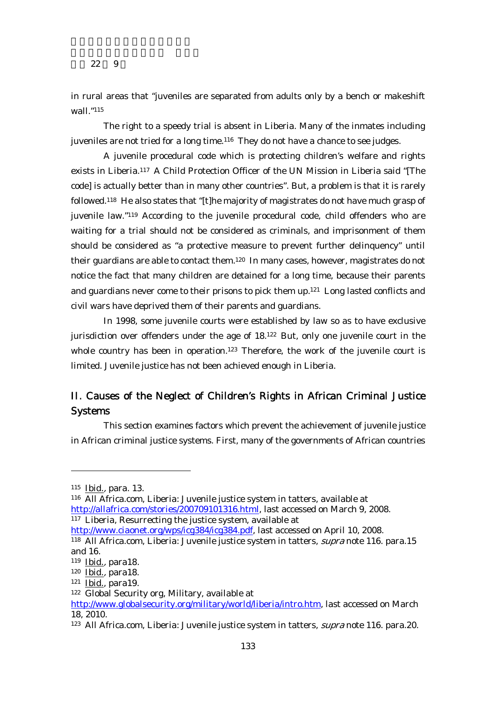in rural areas that "juveniles are separated from adults only by a bench or makeshift wall."115

The right to a speedy trial is absent in Liberia. Many of the inmates including juveniles are not tried for a long time.<sup>116</sup> They do not have a chance to see judges.

A juvenile procedural code which is protecting children's welfare and rights exists in Liberia.117 A Child Protection Officer of the UN Mission in Liberia said "[The code] is actually better than in many other countries". But, a problem is that it is rarely followed.118 He also states that "[t]he majority of magistrates do not have much grasp of juvenile law."119 According to the juvenile procedural code, child offenders who are waiting for a trial should not be considered as criminals, and imprisonment of them should be considered as "a protective measure to prevent further delinquency" until their guardians are able to contact them.<sup>120</sup> In many cases, however, magistrates do not notice the fact that many children are detained for a long time, because their parents and guardians never come to their prisons to pick them up.121 Long lasted conflicts and civil wars have deprived them of their parents and guardians.

In 1998, some juvenile courts were established by law so as to have exclusive jurisdiction over offenders under the age of 18.122 But, only one juvenile court in the whole country has been in operation.<sup>123</sup> Therefore, the work of the juvenile court is limited. Juvenile justice has not been achieved enough in Liberia.

## II. Causes of the Neglect of Children's Rights in African Criminal Justice Systems

This section examines factors which prevent the achievement of juvenile justice in African criminal justice systems. First, many of the governments of African countries

-

116 All Africa.com, Liberia: Juvenile justice system in tatters, available at http://allafrica.com/stories/200709101316.html, last accessed on March 9, 2008. 117 Liberia, Resurrecting the justice system, available at

http://www.ciaonet.org/wps/icg384/icg384.pdf, last accessed on April 10, 2008.

<sup>115</sup> Ibid., para. 13.

<sup>118</sup> All Africa.com, Liberia: Juvenile justice system in tatters, supra note 116. para.15 and 16.

<sup>119</sup> Ibid., para18.

<sup>120</sup> Ibid., para18.

<sup>121</sup> Ibid., para19.

<sup>122</sup> Global Security org, Military, available at

http://www.globalsecurity.org/military/world/liberia/intro.htm, last accessed on March 18, 2010.

<sup>&</sup>lt;sup>123</sup> All Africa.com, Liberia: Juvenile justice system in tatters, *supra* note 116. para.20.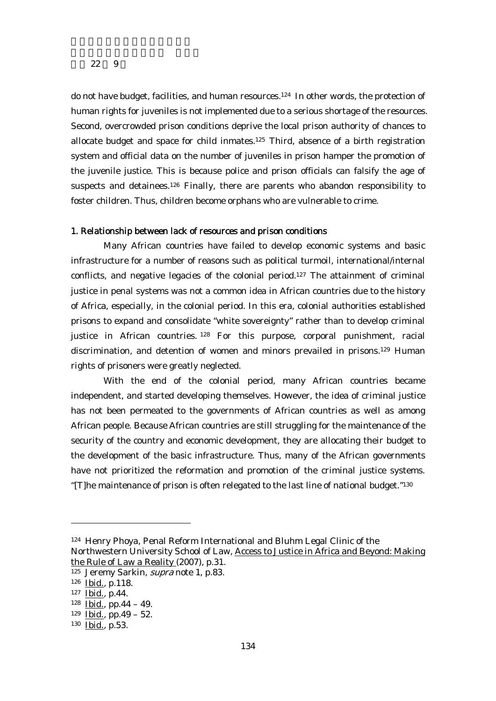do not have budget, facilities, and human resources.<sup>124</sup> In other words, the protection of human rights for juveniles is not implemented due to a serious shortage of the resources. Second, overcrowded prison conditions deprive the local prison authority of chances to allocate budget and space for child inmates.<sup>125</sup> Third, absence of a birth registration system and official data on the number of juveniles in prison hamper the promotion of the juvenile justice. This is because police and prison officials can falsify the age of suspects and detainees.<sup>126</sup> Finally, there are parents who abandon responsibility to foster children. Thus, children become orphans who are vulnerable to crime.

#### 1. Relationship between lack of resources and prison conditions

Many African countries have failed to develop economic systems and basic infrastructure for a number of reasons such as political turmoil, international/internal conflicts, and negative legacies of the colonial period.127 The attainment of criminal justice in penal systems was not a common idea in African countries due to the history of Africa, especially, in the colonial period. In this era, colonial authorities established prisons to expand and consolidate "white sovereignty" rather than to develop criminal justice in African countries. 128 For this purpose, corporal punishment, racial discrimination, and detention of women and minors prevailed in prisons.<sup>129</sup> Human rights of prisoners were greatly neglected.

With the end of the colonial period, many African countries became independent, and started developing themselves. However, the idea of criminal justice has not been permeated to the governments of African countries as well as among African people. Because African countries are still struggling for the maintenance of the security of the country and economic development, they are allocating their budget to the development of the basic infrastructure. Thus, many of the African governments have not prioritized the reformation and promotion of the criminal justice systems. "[T]he maintenance of prison is often relegated to the last line of national budget."130

<sup>124</sup> Henry Phoya, Penal Reform International and Bluhm Legal Clinic of the Northwestern University School of Law, Access to Justice in Africa and Beyond: Making the Rule of Law a Reality (2007), p.31.

<sup>125</sup> Jeremy Sarkin, *supra* note 1, p.83.

<sup>126</sup> Ibid., p.118.

<sup>127</sup> Ibid., p.44.

 $128$  <u>Ibid.,</u> pp. 44 – 49.

 $129$  Ibid., pp.  $49 - 52$ .

<sup>130</sup> Ibid., p.53.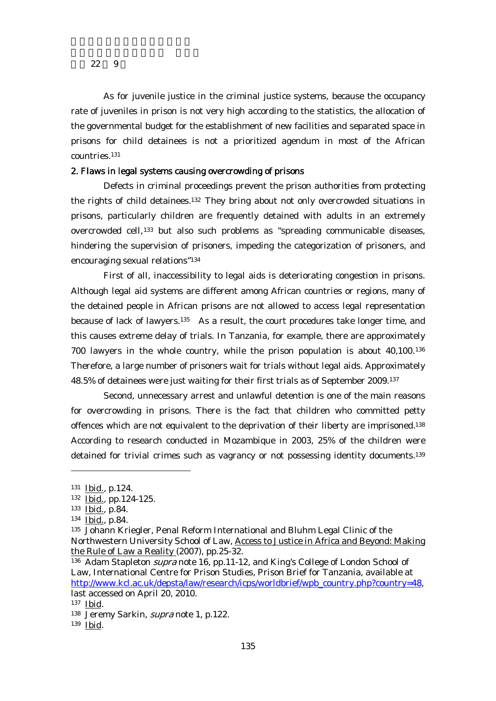As for juvenile justice in the criminal justice systems, because the occupancy rate of juveniles in prison is not very high according to the statistics, the allocation of the governmental budget for the establishment of new facilities and separated space in prisons for child detainees is not a prioritized agendum in most of the African countries.131

## 2. Flaws in legal systems causing overcrowding of prisons

Defects in criminal proceedings prevent the prison authorities from protecting the rights of child detainees.132 They bring about not only overcrowded situations in prisons, particularly children are frequently detained with adults in an extremely overcrowded cell,133 but also such problems as "spreading communicable diseases, hindering the supervision of prisoners, impeding the categorization of prisoners, and encouraging sexual relations"134

First of all, inaccessibility to legal aids is deteriorating congestion in prisons. Although legal aid systems are different among African countries or regions, many of the detained people in African prisons are not allowed to access legal representation because of lack of lawyers.<sup>135</sup> As a result, the court procedures take longer time, and this causes extreme delay of trials. In Tanzania, for example, there are approximately 700 lawyers in the whole country, while the prison population is about 40,100.136 Therefore, a large number of prisoners wait for trials without legal aids. Approximately 48.5% of detainees were just waiting for their first trials as of September 2009.137

Second, unnecessary arrest and unlawful detention is one of the main reasons for overcrowding in prisons. There is the fact that children who committed petty offences which are not equivalent to the deprivation of their liberty are imprisoned.138 According to research conducted in Mozambique in 2003, 25% of the children were detained for trivial crimes such as vagrancy or not possessing identity documents.139

<sup>131</sup> Ibid., p.124.

<sup>132</sup> Ibid., pp.124-125.

<sup>133</sup> Ibid., p.84.

<sup>134</sup> Ibid., p.84.

<sup>135</sup> Johann Kriegler, Penal Reform International and Bluhm Legal Clinic of the Northwestern University School of Law, Access to Justice in Africa and Beyond: Making the Rule of Law a Reality (2007), pp.25-32.

<sup>136</sup> Adam Stapleton supra note 16, pp.11-12, and King's College of London School of Law, International Centre for Prison Studies, Prison Brief for Tanzania, available at http://www.kcl.ac.uk/depsta/law/research/icps/worldbrief/wpb\_country.php?country=48, last accessed on April 20, 2010.

<sup>137</sup> Ibid.

<sup>138</sup> Jeremy Sarkin, supra note 1, p.122.

<sup>139</sup> Ibid.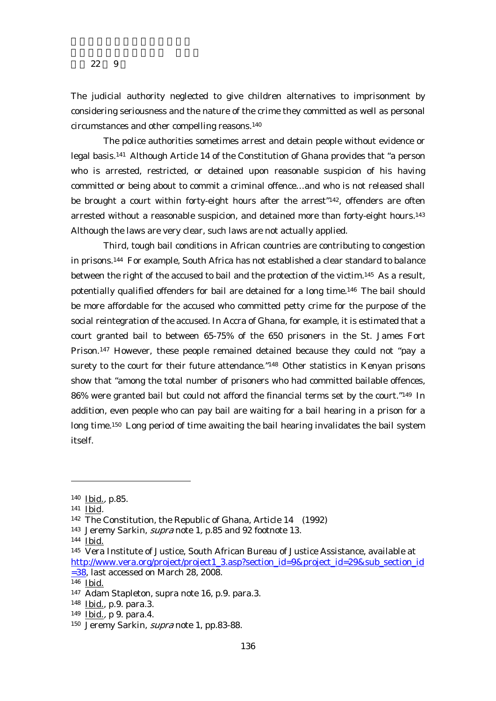The judicial authority neglected to give children alternatives to imprisonment by considering seriousness and the nature of the crime they committed as well as personal circumstances and other compelling reasons.140

The police authorities sometimes arrest and detain people without evidence or legal basis.141 Although Article 14 of the Constitution of Ghana provides that "a person who is arrested, restricted, or detained upon reasonable suspicion of his having committed or being about to commit a criminal offence…and who is not released shall be brought a court within forty-eight hours after the arrest"142, offenders are often arrested without a reasonable suspicion, and detained more than forty-eight hours.<sup>143</sup> Although the laws are very clear, such laws are not actually applied.

Third, tough bail conditions in African countries are contributing to congestion in prisons.144 For example, South Africa has not established a clear standard to balance between the right of the accused to bail and the protection of the victim.145 As a result, potentially qualified offenders for bail are detained for a long time.146 The bail should be more affordable for the accused who committed petty crime for the purpose of the social reintegration of the accused. In Accra of Ghana, for example, it is estimated that a court granted bail to between 65-75% of the 650 prisoners in the St. James Fort Prison.147 However, these people remained detained because they could not "pay a surety to the court for their future attendance."148 Other statistics in Kenyan prisons show that "among the total number of prisoners who had committed bailable offences, 86% were granted bail but could not afford the financial terms set by the court."149 In addition, even people who can pay bail are waiting for a bail hearing in a prison for a long time.150 Long period of time awaiting the bail hearing invalidates the bail system itself.

<sup>140</sup> Ibid., p.85.

<sup>141</sup> Ibid.

<sup>142</sup> The Constitution, the Republic of Ghana, Article 14 (1992)

<sup>&</sup>lt;sup>143</sup> Jeremy Sarkin, *supra* note 1, p.85 and 92 footnote 13.

<sup>144</sup> Ibid.

<sup>145</sup> Vera Institute of Justice, South African Bureau of Justice Assistance, available at http://www.vera.org/project/project1\_3.asp?section\_id=9&project\_id=29&sub\_section\_id  $=38$ , last accessed on March 28, 2008.

<sup>146</sup> Ibid.

<sup>147</sup> Adam Stapleton, supra note 16, p.9. para.3.

<sup>148</sup> Ibid., p.9. para.3.

<sup>149</sup> Ibid., p 9. para.4.

<sup>150</sup> Jeremy Sarkin, supra note 1, pp.83-88.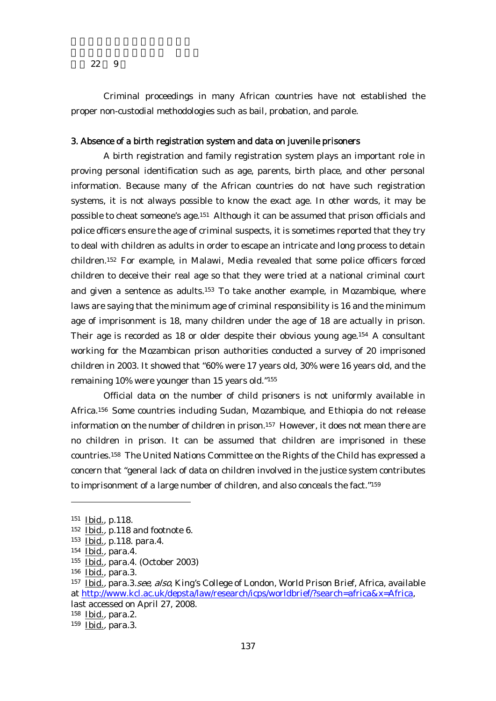Criminal proceedings in many African countries have not established the proper non-custodial methodologies such as bail, probation, and parole.

## 3. Absence of a birth registration system and data on juvenile prisoners

A birth registration and family registration system plays an important role in proving personal identification such as age, parents, birth place, and other personal information. Because many of the African countries do not have such registration systems, it is not always possible to know the exact age. In other words, it may be possible to cheat someone's age.151 Although it can be assumed that prison officials and police officers ensure the age of criminal suspects, it is sometimes reported that they try to deal with children as adults in order to escape an intricate and long process to detain children.152 For example, in Malawi, Media revealed that some police officers forced children to deceive their real age so that they were tried at a national criminal court and given a sentence as adults.153 To take another example, in Mozambique, where laws are saying that the minimum age of criminal responsibility is 16 and the minimum age of imprisonment is 18, many children under the age of 18 are actually in prison. Their age is recorded as 18 or older despite their obvious young age.154 A consultant working for the Mozambican prison authorities conducted a survey of 20 imprisoned children in 2003. It showed that "60% were 17 years old, 30% were 16 years old, and the remaining 10% were younger than 15 years old."155

Official data on the number of child prisoners is not uniformly available in Africa.156 Some countries including Sudan, Mozambique, and Ethiopia do not release information on the number of children in prison.157 However, it does not mean there are no children in prison. It can be assumed that children are imprisoned in these countries.158 The United Nations Committee on the Rights of the Child has expressed a concern that "general lack of data on children involved in the justice system contributes to imprisonment of a large number of children, and also conceals the fact."159

<sup>151</sup> Ibid., p.118.

<sup>152</sup> Ibid., p.118 and footnote 6.

<sup>153</sup> Ibid., p.118. para.4.

<sup>154</sup> Ibid., para.4.

<sup>155</sup> Ibid., para.4. (October 2003)

<sup>156</sup> Ibid., para.3.

<sup>&</sup>lt;sup>157</sup> Ibid., para.3.see, also, King's College of London, World Prison Brief, Africa, available at http://www.kcl.ac.uk/depsta/law/research/icps/worldbrief/?search=africa&x=Africa, last accessed on April 27, 2008.

<sup>158</sup> Ibid., para.2.

<sup>159</sup> Ibid., para.3.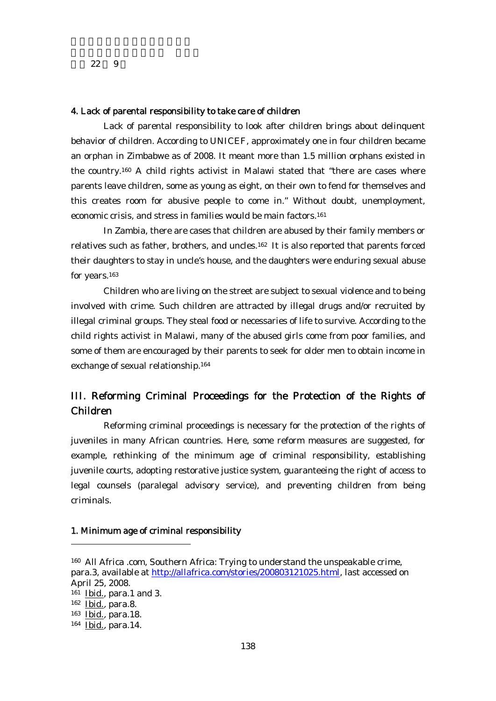#### 4. Lack of parental responsibility to take care of children

Lack of parental responsibility to look after children brings about delinquent behavior of children. According to UNICEF, approximately one in four children became an orphan in Zimbabwe as of 2008. It meant more than 1.5 million orphans existed in the country.160 A child rights activist in Malawi stated that "there are cases where parents leave children, some as young as eight, on their own to fend for themselves and this creates room for abusive people to come in." Without doubt, unemployment, economic crisis, and stress in families would be main factors.<sup>161</sup>

In Zambia, there are cases that children are abused by their family members or relatives such as father, brothers, and uncles.162 It is also reported that parents forced their daughters to stay in uncle's house, and the daughters were enduring sexual abuse for years.163

Children who are living on the street are subject to sexual violence and to being involved with crime. Such children are attracted by illegal drugs and/or recruited by illegal criminal groups. They steal food or necessaries of life to survive. According to the child rights activist in Malawi, many of the abused girls come from poor families, and some of them are encouraged by their parents to seek for older men to obtain income in exchange of sexual relationship.164

## III. Reforming Criminal Proceedings for the Protection of the Rights of Children

Reforming criminal proceedings is necessary for the protection of the rights of juveniles in many African countries. Here, some reform measures are suggested, for example, rethinking of the minimum age of criminal responsibility, establishing juvenile courts, adopting restorative justice system, guaranteeing the right of access to legal counsels (paralegal advisory service), and preventing children from being criminals.

#### 1. Minimum age of criminal responsibility

<sup>160</sup> All Africa .com, Southern Africa: Trying to understand the unspeakable crime, para.3, available at http://allafrica.com/stories/200803121025.html, last accessed on April 25, 2008. 161 Ibid., para.1 and 3. 162 Ibid., para.8. 163 Ibid., para.18. 164 Ibid., para.14.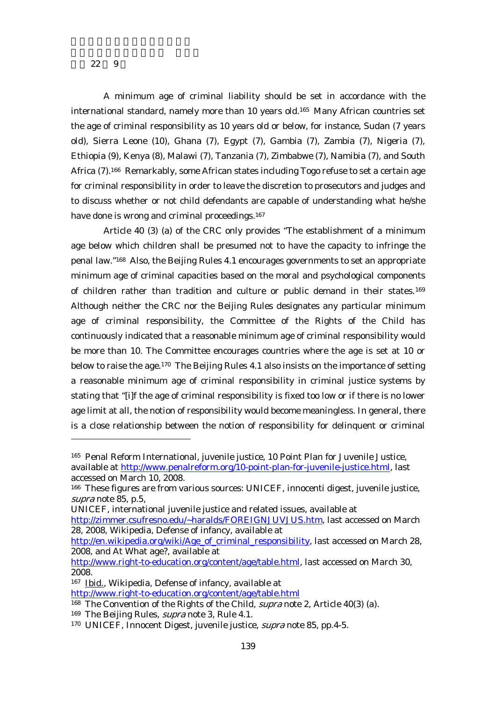-

A minimum age of criminal liability should be set in accordance with the international standard, namely more than 10 years old.165 Many African countries set the age of criminal responsibility as 10 years old or below, for instance, Sudan (7 years old), Sierra Leone (10), Ghana (7), Egypt (7), Gambia (7), Zambia (7), Nigeria (7), Ethiopia (9), Kenya (8), Malawi (7), Tanzania (7), Zimbabwe (7), Namibia (7), and South Africa (7).166 Remarkably, some African states including Togo refuse to set a certain age for criminal responsibility in order to leave the discretion to prosecutors and judges and to discuss whether or not child defendants are capable of understanding what he/she have done is wrong and criminal proceedings.<sup>167</sup>

Article 40 (3) (a) of the CRC only provides "The establishment of a minimum age below which children shall be presumed not to have the capacity to infringe the penal law."168 Also, the Beijing Rules 4.1 encourages governments to set an appropriate minimum age of criminal capacities based on the moral and psychological components of children rather than tradition and culture or public demand in their states.169 Although neither the CRC nor the Beijing Rules designates any particular minimum age of criminal responsibility, the Committee of the Rights of the Child has continuously indicated that a reasonable minimum age of criminal responsibility would be more than 10. The Committee encourages countries where the age is set at 10 or below to raise the age.<sup>170</sup> The Beijing Rules 4.1 also insists on the importance of setting a reasonable minimum age of criminal responsibility in criminal justice systems by stating that "[i]f the age of criminal responsibility is fixed too low or if there is no lower age limit at all, the notion of responsibility would become meaningless. In general, there is a close relationship between the notion of responsibility for delinquent or criminal

UNICEF, international juvenile justice and related issues, available at

http://en.wikipedia.org/wiki/Age\_of\_criminal\_responsibility, last accessed on March 28, 2008, and At What age?, available at

167 Ibid., Wikipedia, Defense of infancy, available at

<sup>165</sup> Penal Reform International, juvenile justice, 10 Point Plan for Juvenile Justice, available at http://www.penalreform.org/10-point-plan-for-juvenile-justice.html, last accessed on March 10, 2008.

<sup>166</sup> These figures are from various sources: UNICEF, innocenti digest, juvenile justice, supra note 85, p.5,

http://zimmer.csufresno.edu/~haralds/FOREIGNJUVJUS.htm, last accessed on March 28, 2008, Wikipedia, Defense of infancy, available at

http://www.right-to-education.org/content/age/table.html, last accessed on March 30, 2008.

http://www.right-to-education.org/content/age/table.html

<sup>&</sup>lt;sup>168</sup> The Convention of the Rights of the Child, *supra* note 2, Article 40(3) (a).

<sup>&</sup>lt;sup>169</sup> The Beijing Rules, *supra* note 3, Rule 4.1.

<sup>&</sup>lt;sup>170</sup> UNICEF, Innocent Digest, juvenile justice, *supra* note 85, pp.4-5.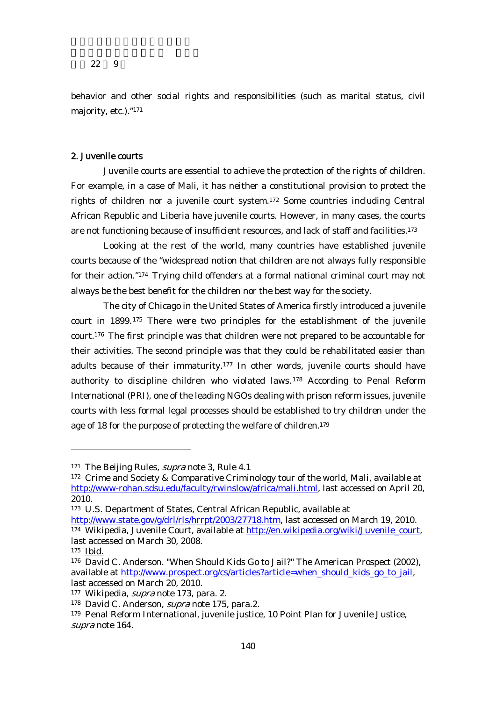behavior and other social rights and responsibilities (such as marital status, civil majority, etc.)."171

## 2. Juvenile courts

Juvenile courts are essential to achieve the protection of the rights of children. For example, in a case of Mali, it has neither a constitutional provision to protect the rights of children nor a juvenile court system.172 Some countries including Central African Republic and Liberia have juvenile courts. However, in many cases, the courts are not functioning because of insufficient resources, and lack of staff and facilities.173

Looking at the rest of the world, many countries have established juvenile courts because of the "widespread notion that children are not always fully responsible for their action."174 Trying child offenders at a formal national criminal court may not always be the best benefit for the children nor the best way for the society.

The city of Chicago in the United States of America firstly introduced a juvenile court in 1899.175 There were two principles for the establishment of the juvenile court.176 The first principle was that children were not prepared to be accountable for their activities. The second principle was that they could be rehabilitated easier than adults because of their immaturity.<sup>177</sup> In other words, juvenile courts should have authority to discipline children who violated laws. 178 According to Penal Reform International (PRI), one of the leading NGOs dealing with prison reform issues, juvenile courts with less formal legal processes should be established to try children under the age of 18 for the purpose of protecting the welfare of children.<sup>179</sup>

<sup>&</sup>lt;sup>171</sup> The Beijing Rules, *supra* note 3, Rule 4.1

<sup>172</sup> Crime and Society & Comparative Criminology tour of the world, Mali, available at http://www-rohan.sdsu.edu/faculty/rwinslow/africa/mali.html, last accessed on April 20, 2010.

<sup>173</sup> U.S. Department of States, Central African Republic, available at

http://www.state.gov/g/drl/rls/hrrpt/2003/27718.htm, last accessed on March 19, 2010. 174 Wikipedia, Juvenile Court, available at http://en.wikipedia.org/wiki/Juvenile\_court, last accessed on March 30, 2008.

<sup>175</sup> Ibid.

<sup>176</sup> David C. Anderson. "When Should Kids Go to Jail?" The American Prospect (2002), available at http://www.prospect.org/cs/articles?article=when\_should\_kids\_go\_to\_jail, last accessed on March 20, 2010.

<sup>177</sup> Wikipedia, *supra* note 173, para. 2.

<sup>178</sup> David C. Anderson, *supra* note 175, para.2.

<sup>179</sup> Penal Reform International, juvenile justice, 10 Point Plan for Juvenile Justice, supra note 164.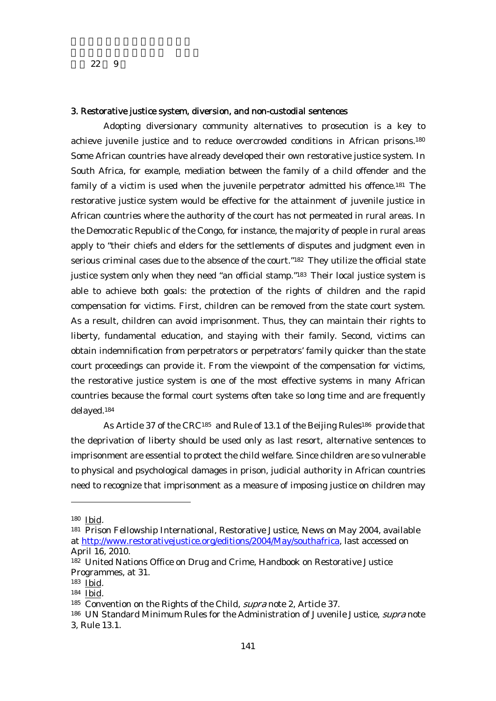#### 3. Restorative justice system, diversion, and non-custodial sentences

Adopting diversionary community alternatives to prosecution is a key to achieve juvenile justice and to reduce overcrowded conditions in African prisons.180 Some African countries have already developed their own restorative justice system. In South Africa, for example, mediation between the family of a child offender and the family of a victim is used when the juvenile perpetrator admitted his offence.<sup>181</sup> The restorative justice system would be effective for the attainment of juvenile justice in African countries where the authority of the court has not permeated in rural areas. In the Democratic Republic of the Congo, for instance, the majority of people in rural areas apply to "their chiefs and elders for the settlements of disputes and judgment even in serious criminal cases due to the absence of the court."182 They utilize the official state justice system only when they need "an official stamp."183 Their local justice system is able to achieve both goals: the protection of the rights of children and the rapid compensation for victims. First, children can be removed from the state court system. As a result, children can avoid imprisonment. Thus, they can maintain their rights to liberty, fundamental education, and staying with their family. Second, victims can obtain indemnification from perpetrators or perpetrators' family quicker than the state court proceedings can provide it. From the viewpoint of the compensation for victims, the restorative justice system is one of the most effective systems in many African countries because the formal court systems often take so long time and are frequently delayed.184

As Article 37 of the CRC<sup>185</sup> and Rule of 13.1 of the Beijing Rules<sup>186</sup> provide that the deprivation of liberty should be used only as last resort, alternative sentences to imprisonment are essential to protect the child welfare. Since children are so vulnerable to physical and psychological damages in prison, judicial authority in African countries need to recognize that imprisonment as a measure of imposing justice on children may

<sup>180</sup> Ibid.

<sup>181</sup> Prison Fellowship International, Restorative Justice, News on May 2004, available at http://www.restorativejustice.org/editions/2004/May/southafrica, last accessed on April 16, 2010.

<sup>182</sup> United Nations Office on Drug and Crime, Handbook on Restorative Justice Programmes, at 31.

<sup>183</sup> Ibid.

<sup>184</sup> Ibid.

<sup>185</sup> Convention on the Rights of the Child, *supra* note 2, Article 37.

<sup>&</sup>lt;sup>186</sup> UN Standard Minimum Rules for the Administration of Juvenile Justice, *supra* note 3, Rule 13.1.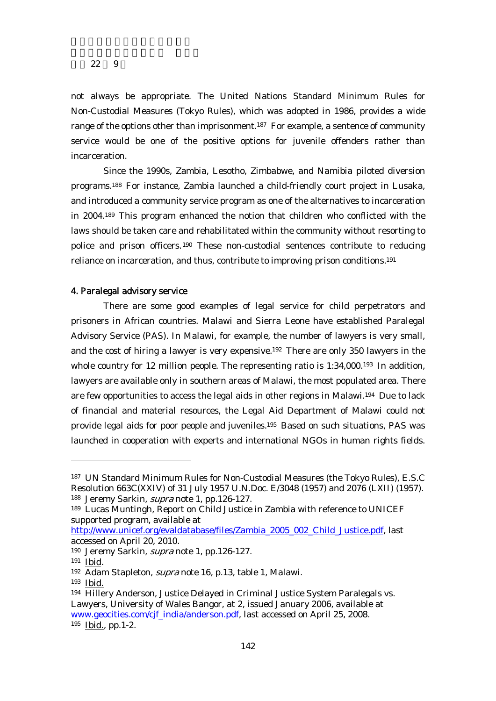not always be appropriate. The United Nations Standard Minimum Rules for Non-Custodial Measures (Tokyo Rules), which was adopted in 1986, provides a wide range of the options other than imprisonment.<sup>187</sup> For example, a sentence of community service would be one of the positive options for juvenile offenders rather than incarceration.

Since the 1990s, Zambia, Lesotho, Zimbabwe, and Namibia piloted diversion programs.188 For instance, Zambia launched a child-friendly court project in Lusaka, and introduced a community service program as one of the alternatives to incarceration in 2004.189 This program enhanced the notion that children who conflicted with the laws should be taken care and rehabilitated within the community without resorting to police and prison officers.190 These non-custodial sentences contribute to reducing reliance on incarceration, and thus, contribute to improving prison conditions.191

## 4. Paralegal advisory service

There are some good examples of legal service for child perpetrators and prisoners in African countries. Malawi and Sierra Leone have established Paralegal Advisory Service (PAS). In Malawi, for example, the number of lawyers is very small, and the cost of hiring a lawyer is very expensive.192 There are only 350 lawyers in the whole country for 12 million people. The representing ratio is 1:34,000.<sup>193</sup> In addition, lawyers are available only in southern areas of Malawi, the most populated area. There are few opportunities to access the legal aids in other regions in Malawi.194 Due to lack of financial and material resources, the Legal Aid Department of Malawi could not provide legal aids for poor people and juveniles.195 Based on such situations, PAS was launched in cooperation with experts and international NGOs in human rights fields.

<sup>187</sup> UN Standard Minimum Rules for Non-Custodial Measures (the Tokyo Rules), E.S.C Resolution 663C(XXIV) of 31 July 1957 U.N.Doc. E/3048 (1957) and 2076 (LXII) (1957). 188 Jeremy Sarkin, supra note 1, pp.126-127.

<sup>189</sup> Lucas Muntingh, Report on Child Justice in Zambia with reference to UNICEF supported program, available at

http://www.unicef.org/evaldatabase/files/Zambia\_2005\_002\_Child\_Justice.pdf, last accessed on April 20, 2010.

<sup>190</sup> Jeremy Sarkin, *supra* note 1, pp.126-127.

<sup>191</sup> Ibid.

<sup>192</sup> Adam Stapleton, *supra* note 16, p.13, table 1, Malawi.

<sup>193</sup> Ibid.

<sup>194</sup> Hillery Anderson, Justice Delayed in Criminal Justice System Paralegals vs. Lawyers, University of Wales Bangor, at 2, issued January 2006, available at www.geocities.com/cjf\_india/anderson.pdf, last accessed on April 25, 2008. 195 Ibid., pp.1-2.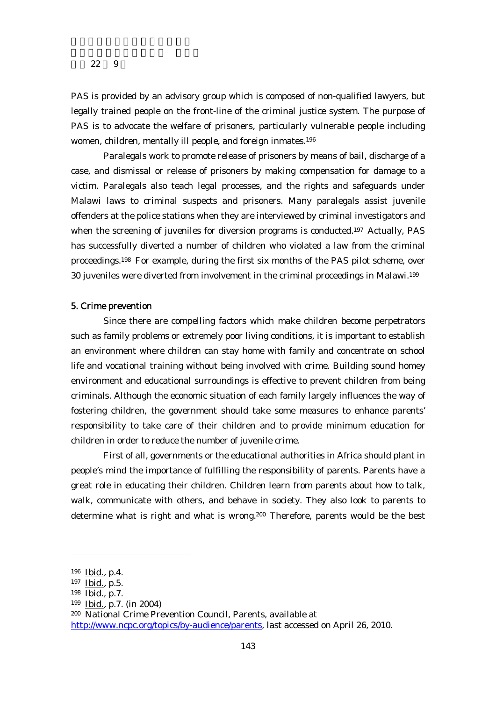PAS is provided by an advisory group which is composed of non-qualified lawyers, but legally trained people on the front-line of the criminal justice system. The purpose of PAS is to advocate the welfare of prisoners, particularly vulnerable people including women, children, mentally ill people, and foreign inmates.196

Paralegals work to promote release of prisoners by means of bail, discharge of a case, and dismissal or release of prisoners by making compensation for damage to a victim. Paralegals also teach legal processes, and the rights and safeguards under Malawi laws to criminal suspects and prisoners. Many paralegals assist juvenile offenders at the police stations when they are interviewed by criminal investigators and when the screening of juveniles for diversion programs is conducted.197 Actually, PAS has successfully diverted a number of children who violated a law from the criminal proceedings.198 For example, during the first six months of the PAS pilot scheme, over 30 juveniles were diverted from involvement in the criminal proceedings in Malawi.199

#### 5. Crime prevention

Since there are compelling factors which make children become perpetrators such as family problems or extremely poor living conditions, it is important to establish an environment where children can stay home with family and concentrate on school life and vocational training without being involved with crime. Building sound homey environment and educational surroundings is effective to prevent children from being criminals. Although the economic situation of each family largely influences the way of fostering children, the government should take some measures to enhance parents' responsibility to take care of their children and to provide minimum education for children in order to reduce the number of juvenile crime.

First of all, governments or the educational authorities in Africa should plant in people's mind the importance of fulfilling the responsibility of parents. Parents have a great role in educating their children. Children learn from parents about how to talk, walk, communicate with others, and behave in society. They also look to parents to determine what is right and what is wrong.<sup>200</sup> Therefore, parents would be the best

<sup>196</sup> Ibid., p.4.

<sup>197</sup> Ibid., p.5.

<sup>198</sup> Ibid., p.7.

<sup>199</sup> Ibid., p.7. (in 2004)

<sup>200</sup> National Crime Prevention Council, Parents, available at

http://www.ncpc.org/topics/by-audience/parents, last accessed on April 26, 2010.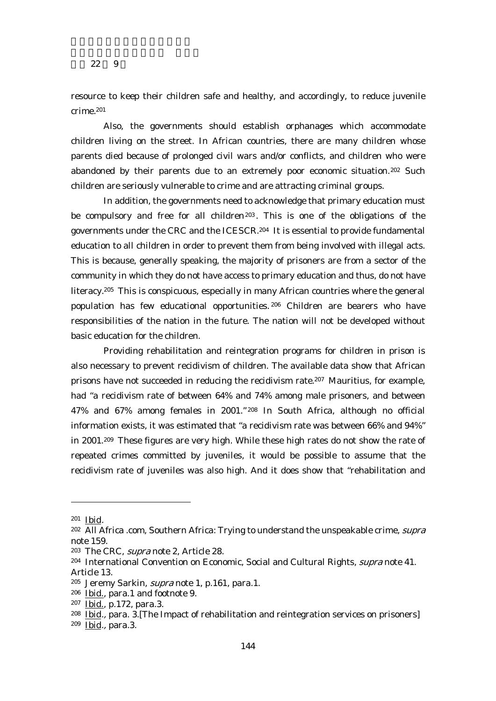resource to keep their children safe and healthy, and accordingly, to reduce juvenile crime.201

Also, the governments should establish orphanages which accommodate children living on the street. In African countries, there are many children whose parents died because of prolonged civil wars and/or conflicts, and children who were abandoned by their parents due to an extremely poor economic situation.<sup>202</sup> Such children are seriously vulnerable to crime and are attracting criminal groups.

In addition, the governments need to acknowledge that primary education must be compulsory and free for all children<sup>203</sup>. This is one of the obligations of the governments under the CRC and the ICESCR.204 It is essential to provide fundamental education to all children in order to prevent them from being involved with illegal acts. This is because, generally speaking, the majority of prisoners are from a sector of the community in which they do not have access to primary education and thus, do not have literacy.205 This is conspicuous, especially in many African countries where the general population has few educational opportunities. 206 Children are bearers who have responsibilities of the nation in the future. The nation will not be developed without basic education for the children.

Providing rehabilitation and reintegration programs for children in prison is also necessary to prevent recidivism of children. The available data show that African prisons have not succeeded in reducing the recidivism rate.207 Mauritius, for example, had "a recidivism rate of between 64% and 74% among male prisoners, and between 47% and 67% among females in 2001." 208 In South Africa, although no official information exists, it was estimated that "a recidivism rate was between 66% and 94%" in 2001.209 These figures are very high. While these high rates do not show the rate of repeated crimes committed by juveniles, it would be possible to assume that the recidivism rate of juveniles was also high. And it does show that "rehabilitation and

-

209 Ibid., para.3.

<sup>201</sup> Ibid.

<sup>&</sup>lt;sup>202</sup> All Africa .com, Southern Africa: Trying to understand the unspeakable crime, *supra* note 159.

<sup>203</sup> The CRC, supra note 2, Article 28.

<sup>&</sup>lt;sup>204</sup> International Convention on Economic, Social and Cultural Rights, *supra* note 41. Article 13.

<sup>205</sup> Jeremy Sarkin, supra note 1, p.161, para.1.

<sup>206</sup> Ibid., para.1 and footnote 9.

<sup>207</sup> Ibid., p.172, para.3.

<sup>208</sup> Ibid., para. 3.[The Impact of rehabilitation and reintegration services on prisoners]